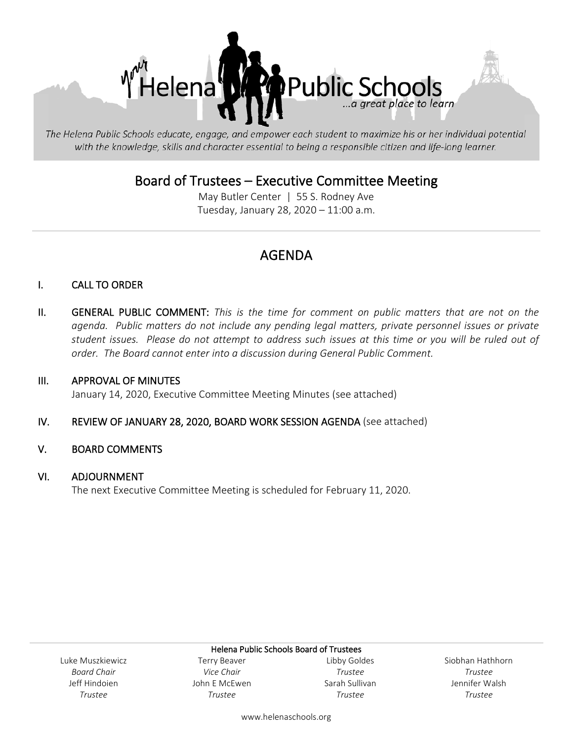

The Helena Public Schools educate, engage, and empower each student to maximize his or her individual potential with the knowledge, skills and character essential to being a responsible citizen and life-long learner.

## Board of Trustees – Executive Committee Meeting<br>May Butler Center | 55 S. Rodney Ave

Tuesday, January 28, 2020 – 11:00 a.m.

### AGENDA

#### I. CALL TO ORDER

II. GENERAL PUBLIC COMMENT: *This is the time for comment on public matters that are not on the agenda. Public matters do not include any pending legal matters, private personnel issues or private student issues. Please do not attempt to address such issues at this time or you will be ruled out of order. The Board cannot enter into a discussion during General Public Comment.*

#### III. APPROVAL OF MINUTES

January 14, 2020, Executive Committee Meeting Minutes (see attached)

#### IV. REVIEW OF JANUARY 28, 2020, BOARD WORK SESSION AGENDA (see attached)

#### V. BOARD COMMENTS

#### VI. ADJOURNMENT

The next Executive Committee Meeting is scheduled for February 11, 2020.

Luke Muszkiewicz *Board Chair* Jeff Hindoien *Trustee*

Helena Public Schools Board of Trustees Terry Beaver *Vice Chair* John E McEwen *Trustee*

Libby Goldes *Trustee* Sarah Sullivan *Trustee*

Siobhan Hathhorn *Trustee* Jennifer Walsh *Trustee*

www.helenaschools.org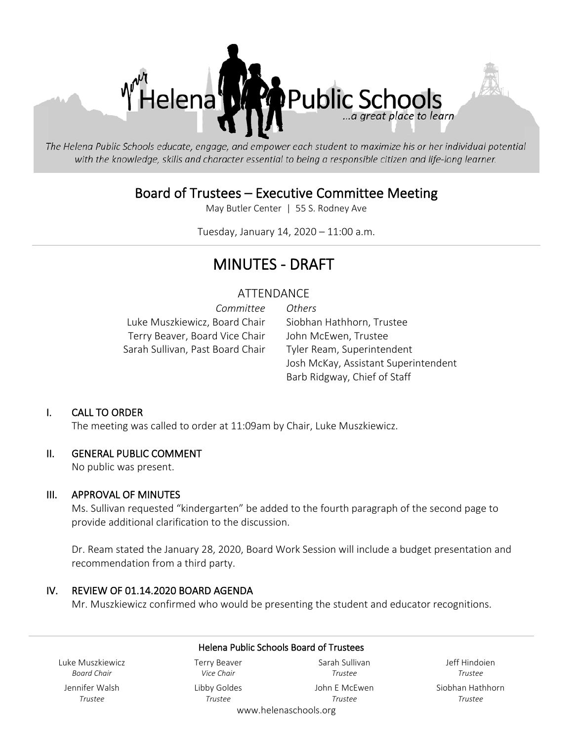

The Helena Public Schools educate, engage, and empower each student to maximize his or her individual potential with the knowledge, skills and character essential to being a responsible citizen and life-long learner.

## Board of Trustees – Executive Committee Meeting<br>May Butler Center | 55 S. Rodney Ave

Tuesday, January 14, 2020 – 11:00 a.m.

### MINUTES - DRAFT

#### ATTENDANCE

*Committee Others* Luke Muszkiewicz, Board Chair Siobhan Hathhorn, Trustee Terry Beaver, Board Vice Chair John McEwen, Trustee Sarah Sullivan, Past Board Chair Tyler Ream, Superintendent

Josh McKay, Assistant Superintendent Barb Ridgway, Chief of Staff

#### I. CALL TO ORDER

The meeting was called to order at 11:09am by Chair, Luke Muszkiewicz.

#### II. GENERAL PUBLIC COMMENT

No public was present.

#### III. APPROVAL OF MINUTES

Ms. Sullivan requested "kindergarten" be added to the fourth paragraph of the second page to provide additional clarification to the discussion.

Dr. Ream stated the January 28, 2020, Board Work Session will include a budget presentation and recommendation from a third party.

#### IV. REVIEW OF 01.14.2020 BOARD AGENDA

Mr. Muszkiewicz confirmed who would be presenting the student and educator recognitions.

| Helena Public Schools Board of Trustees |                                   |                                  |                          |
|-----------------------------------------|-----------------------------------|----------------------------------|--------------------------|
| Luke Muszkiewicz<br><b>Board Chair</b>  | <b>Terry Beaver</b><br>Vice Chair | Sarah Sullivan<br>Trustee        | Jeff Hindoien<br>Trustee |
| Jennifer Walsh                          | Libby Goldes                      | John E McEwen                    | Siobhan Hathhorn         |
| Trustee                                 | Trustee                           | Trustee<br>www.helenaschools.org | Trustee                  |
|                                         |                                   |                                  |                          |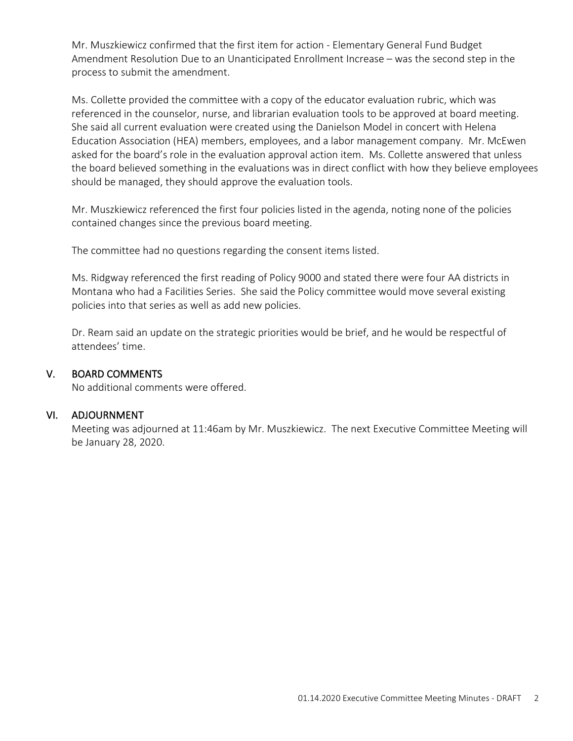Mr. Muszkiewicz confirmed that the first item for action - Elementary General Fund Budget Amendment Resolution Due to an Unanticipated Enrollment Increase – was the second step in the process to submit the amendment.

Ms. Collette provided the committee with a copy of the educator evaluation rubric, which was referenced in the counselor, nurse, and librarian evaluation tools to be approved at board meeting. She said all current evaluation were created using the Danielson Model in concert with Helena Education Association (HEA) members, employees, and a labor management company. Mr. McEwen asked for the board's role in the evaluation approval action item. Ms. Collette answered that unless the board believed something in the evaluations was in direct conflict with how they believe employees should be managed, they should approve the evaluation tools.

Mr. Muszkiewicz referenced the first four policies listed in the agenda, noting none of the policies contained changes since the previous board meeting.

The committee had no questions regarding the consent items listed.

Ms. Ridgway referenced the first reading of Policy 9000 and stated there were four AA districts in Montana who had a Facilities Series. She said the Policy committee would move several existing policies into that series as well as add new policies.

Dr. Ream said an update on the strategic priorities would be brief, and he would be respectful of attendees' time.

#### V. BOARD COMMENTS

No additional comments were offered.

#### VI. ADJOURNMENT

Meeting was adjourned at 11:46am by Mr. Muszkiewicz. The next Executive Committee Meeting will be January 28, 2020.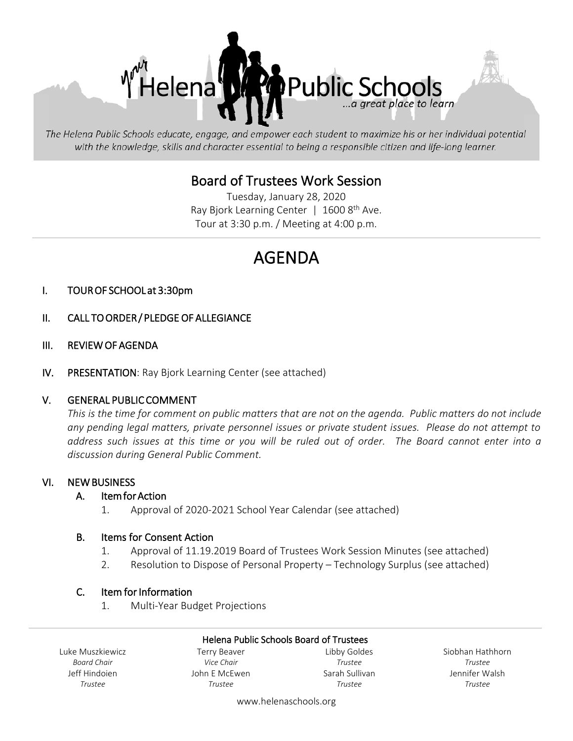

The Helena Public Schools educate, engage, and empower each student to maximize his or her individual potential with the knowledge, skills and character essential to being a responsible citizen and life-long learner.

# Board of Trustees Work Session<br>Tuesday, January 28, 2020

Ray Bjork Learning Center  $\mid$  1600 8<sup>th</sup> Ave. Tour at 3:30 p.m. / Meeting at 4:00 p.m.

### AGENDA

#### I. TOUR OF SCHOOL at 3:30pm

- II. CALL TO ORDER / PLEDGE OF ALLEGIANCE
- III. REVIEW OF AGENDA
- IV. PRESENTATION: Ray Bjork Learning Center (see attached)

#### V. GENERAL PUBLIC COMMENT

*This is the time for comment on public matters that are not on the agenda. Public matters do not include any pending legal matters, private personnel issues or private student issues. Please do not attempt to address such issues at this time or you will be ruled out of order. The Board cannot enter into a discussion during General Public Comment.*

#### VI. NEW BUSINESS

#### A. Item for Action

1. Approval of 2020-2021 School Year Calendar (see attached)

#### B. Items for Consent Action

- 1. Approval of 11.19.2019 Board of Trustees Work Session Minutes (see attached)
- 2. Resolution to Dispose of Personal Property Technology Surplus (see attached)

#### C. Item for Information

1. Multi-Year Budget Projections

#### Helena Public Schools Board of Trustees

Luke Muszkiewicz *Board Chair* Jeff Hindoien *Trustee*

Terry Beaver *Vice Chair* John E McEwen *Trustee*

Libby Goldes *Trustee* Sarah Sullivan *Trustee*

Siobhan Hathhorn *Trustee* Jennifer Walsh *Trustee*

www.helenaschools.org